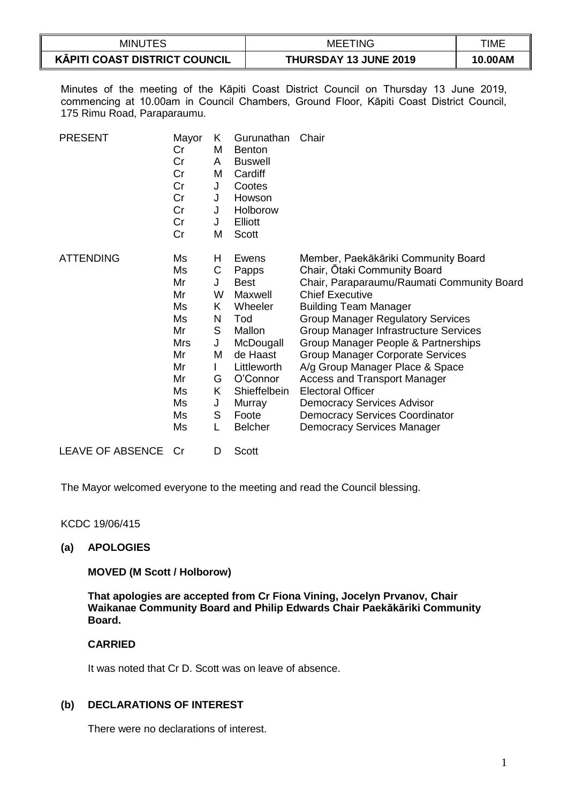| <b>MINUTES</b>                | <b>TING</b><br>MEE.          | TIME    |
|-------------------------------|------------------------------|---------|
| KĀPITI COAST DISTRICT COUNCIL | <b>THURSDAY 13 JUNE 2019</b> | 10.00AM |

Minutes of the meeting of the Kāpiti Coast District Council on Thursday 13 June 2019, commencing at 10.00am in Council Chambers, Ground Floor, Kāpiti Coast District Council, 175 Rimu Road, Paraparaumu.

| <b>PRESENT</b>          | Mayor<br>Cr<br>Cr<br>Cr<br>Cr<br>Cr<br>Cr<br>Cr<br>Cr                                          | Κ<br>M<br>A<br>м<br>J<br>J<br>J<br>J<br>м                        | Gurunathan<br><b>Benton</b><br><b>Buswell</b><br>Cardiff<br>Cootes<br>Howson<br>Holborow<br>Elliott<br>Scott                                                                  | Chair                                                                                                                                                                                                                                                                                                                                                                                                                                                                                                                                                         |
|-------------------------|------------------------------------------------------------------------------------------------|------------------------------------------------------------------|-------------------------------------------------------------------------------------------------------------------------------------------------------------------------------|---------------------------------------------------------------------------------------------------------------------------------------------------------------------------------------------------------------------------------------------------------------------------------------------------------------------------------------------------------------------------------------------------------------------------------------------------------------------------------------------------------------------------------------------------------------|
| <b>ATTENDING</b>        | Ms<br>Ms<br>Mr<br>Mr<br>Ms<br>Ms<br>Mr<br><b>Mrs</b><br>Mr<br>Mr<br>Mr<br>Ms<br>Ms<br>Ms<br>Ms | H.<br>C<br>J<br>W<br>K.<br>N<br>S<br>J<br>м<br>G<br>K.<br>J<br>S | Ewens<br>Papps<br><b>Best</b><br>Maxwell<br>Wheeler<br>Tod<br>Mallon<br>McDougall<br>de Haast<br>Littleworth<br>O'Connor<br>Shieffelbein<br>Murray<br>Foote<br><b>Belcher</b> | Member, Paekākāriki Community Board<br>Chair, Otaki Community Board<br>Chair, Paraparaumu/Raumati Community Board<br><b>Chief Executive</b><br><b>Building Team Manager</b><br><b>Group Manager Regulatory Services</b><br>Group Manager Infrastructure Services<br>Group Manager People & Partnerships<br>Group Manager Corporate Services<br>A/g Group Manager Place & Space<br><b>Access and Transport Manager</b><br><b>Electoral Officer</b><br><b>Democracy Services Advisor</b><br><b>Democracy Services Coordinator</b><br>Democracy Services Manager |
| <b>LEAVE OF ABSENCE</b> | Cr                                                                                             | D                                                                | <b>Scott</b>                                                                                                                                                                  |                                                                                                                                                                                                                                                                                                                                                                                                                                                                                                                                                               |

The Mayor welcomed everyone to the meeting and read the Council blessing.

KCDC 19/06/415

# **(a) APOLOGIES**

**MOVED (M Scott / Holborow)**

**That apologies are accepted from Cr Fiona Vining, Jocelyn Prvanov, Chair Waikanae Community Board and Philip Edwards Chair Paekākāriki Community Board.**

# **CARRIED**

It was noted that Cr D. Scott was on leave of absence.

# **(b) DECLARATIONS OF INTEREST**

There were no declarations of interest.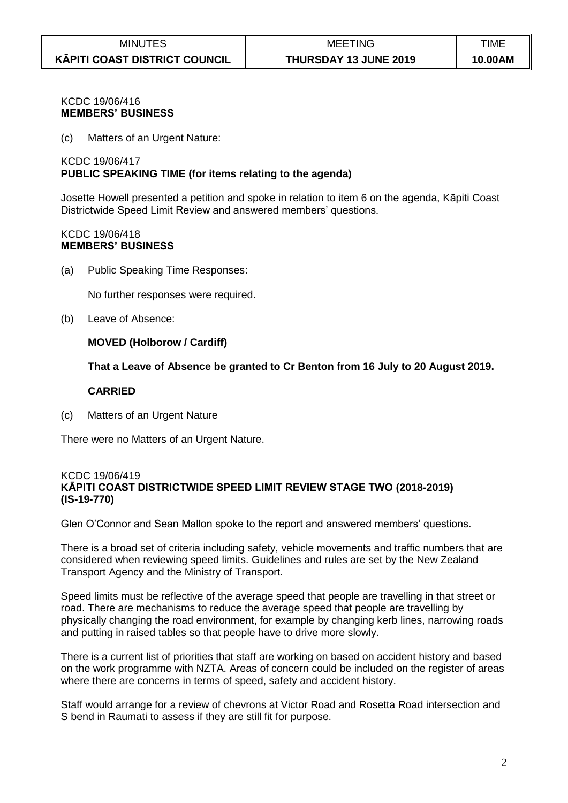| MINU<br><b>ITES</b>           | 'INC<br>MEE           | TIME    |
|-------------------------------|-----------------------|---------|
| KĀPITI COAST DISTRICT COUNCIL | THURSDAY 13 JUNE 2019 | 10.00AM |

#### KCDC 19/06/416 **MEMBERS' BUSINESS**

(c) Matters of an Urgent Nature:

# KCDC 19/06/417 **PUBLIC SPEAKING TIME (for items relating to the agenda)**

Josette Howell presented a petition and spoke in relation to item 6 on the agenda, Kāpiti Coast Districtwide Speed Limit Review and answered members' questions.

#### KCDC 19/06/418 **MEMBERS' BUSINESS**

(a) Public Speaking Time Responses:

No further responses were required.

(b) Leave of Absence:

# **MOVED (Holborow / Cardiff)**

**That a Leave of Absence be granted to Cr Benton from 16 July to 20 August 2019.**

# **CARRIED**

(c) Matters of an Urgent Nature

There were no Matters of an Urgent Nature.

### KCDC 19/06/419 **KĀPITI COAST DISTRICTWIDE SPEED LIMIT REVIEW STAGE TWO (2018-2019) (IS-19-770)**

Glen O'Connor and Sean Mallon spoke to the report and answered members' questions.

There is a broad set of criteria including safety, vehicle movements and traffic numbers that are considered when reviewing speed limits. Guidelines and rules are set by the New Zealand Transport Agency and the Ministry of Transport.

Speed limits must be reflective of the average speed that people are travelling in that street or road. There are mechanisms to reduce the average speed that people are travelling by physically changing the road environment, for example by changing kerb lines, narrowing roads and putting in raised tables so that people have to drive more slowly.

There is a current list of priorities that staff are working on based on accident history and based on the work programme with NZTA. Areas of concern could be included on the register of areas where there are concerns in terms of speed, safety and accident history.

Staff would arrange for a review of chevrons at Victor Road and Rosetta Road intersection and S bend in Raumati to assess if they are still fit for purpose.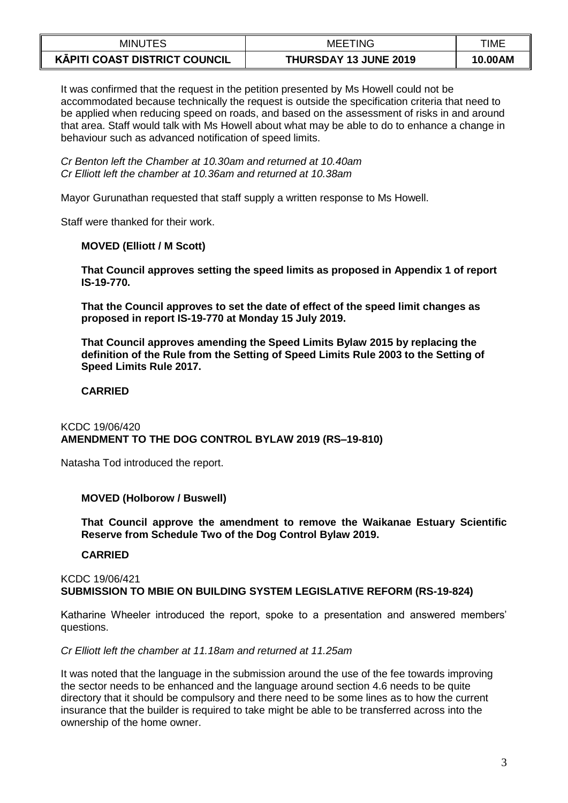| <b>MINUTES</b>                       | <b>MEETING</b>               | TIME    |
|--------------------------------------|------------------------------|---------|
| <b>KĀPITI COAST DISTRICT COUNCIL</b> | <b>THURSDAY 13 JUNE 2019</b> | 10.00AM |

It was confirmed that the request in the petition presented by Ms Howell could not be accommodated because technically the request is outside the specification criteria that need to be applied when reducing speed on roads, and based on the assessment of risks in and around that area. Staff would talk with Ms Howell about what may be able to do to enhance a change in behaviour such as advanced notification of speed limits.

*Cr Benton left the Chamber at 10.30am and returned at 10.40am Cr Elliott left the chamber at 10.36am and returned at 10.38am*

Mayor Gurunathan requested that staff supply a written response to Ms Howell.

Staff were thanked for their work.

# **MOVED (Elliott / M Scott)**

**That Council approves setting the speed limits as proposed in Appendix 1 of report IS-19-770.** 

**That the Council approves to set the date of effect of the speed limit changes as proposed in report IS-19-770 at Monday 15 July 2019.**

**That Council approves amending the Speed Limits Bylaw 2015 by replacing the definition of the Rule from the Setting of Speed Limits Rule 2003 to the Setting of Speed Limits Rule 2017.**

### **CARRIED**

KCDC 19/06/420 **AMENDMENT TO THE DOG CONTROL BYLAW 2019 (RS–19-810)**

Natasha Tod introduced the report.

#### **MOVED (Holborow / Buswell)**

**That Council approve the amendment to remove the Waikanae Estuary Scientific Reserve from Schedule Two of the Dog Control Bylaw 2019.**

# **CARRIED**

#### KCDC 19/06/421 **SUBMISSION TO MBIE ON BUILDING SYSTEM LEGISLATIVE REFORM (RS-19-824)**

Katharine Wheeler introduced the report, spoke to a presentation and answered members' questions.

*Cr Elliott left the chamber at 11.18am and returned at 11.25am*

It was noted that the language in the submission around the use of the fee towards improving the sector needs to be enhanced and the language around section 4.6 needs to be quite directory that it should be compulsory and there need to be some lines as to how the current insurance that the builder is required to take might be able to be transferred across into the ownership of the home owner.